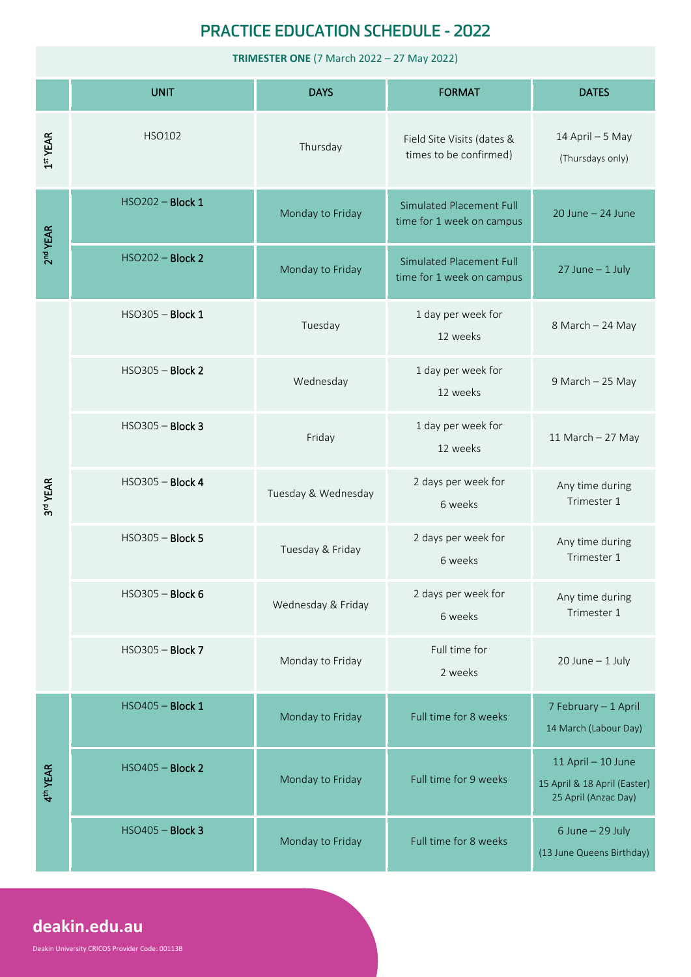## **PRACTICE EDUCATION SCHEDULE - 2022**

**TRIMESTER ONE** (7 March 2022 – 27 May 2022)

|                      | <b>UNIT</b>             | <b>DAYS</b>         | <b>FORMAT</b>                                                | <b>DATES</b>                                                               |
|----------------------|-------------------------|---------------------|--------------------------------------------------------------|----------------------------------------------------------------------------|
| 1 <sup>st</sup> YEAR | HSO102                  | Thursday            | Field Site Visits (dates &<br>times to be confirmed)         | 14 April - 5 May<br>(Thursdays only)                                       |
| 2 <sup>nd</sup> YEAR | HSO202 - Block 1        | Monday to Friday    | <b>Simulated Placement Full</b><br>time for 1 week on campus | $20$ June $- 24$ June                                                      |
|                      | <b>HSO202 - Block 2</b> | Monday to Friday    | <b>Simulated Placement Full</b><br>time for 1 week on campus | $27$ June - 1 July                                                         |
| 3rd YEAR             | <b>HSO305 - Block 1</b> | Tuesday             | 1 day per week for<br>12 weeks                               | 8 March - 24 May                                                           |
|                      | HSO305 - Block 2        | Wednesday           | 1 day per week for<br>12 weeks                               | 9 March - 25 May                                                           |
|                      | <b>HSO305 - Block 3</b> | Friday              | 1 day per week for<br>12 weeks                               | 11 March $-$ 27 May                                                        |
|                      | HSO305 - Block 4        | Tuesday & Wednesday | 2 days per week for<br>6 weeks                               | Any time during<br>Trimester 1                                             |
|                      | HSO305 - Block 5        | Tuesday & Friday    | 2 days per week for<br>6 weeks                               | Any time during<br>Trimester 1                                             |
|                      | $HSO305 - Block 6$      | Wednesday & Friday  | 2 days per week for<br>6 weeks                               | Any time during<br>Trimester 1                                             |
|                      | HSO305 - Block 7        | Monday to Friday    | Full time for<br>2 weeks                                     | $20$ June $-1$ July                                                        |
| 4 <sup>th</sup> YEAR | HSO405 - Block 1        | Monday to Friday    | Full time for 8 weeks                                        | 7 February - 1 April<br>14 March (Labour Day)                              |
|                      | HSO405 - Block 2        | Monday to Friday    | Full time for 9 weeks                                        | 11 April - 10 June<br>15 April & 18 April (Easter)<br>25 April (Anzac Day) |
|                      | HSO405 - Block 3        | Monday to Friday    | Full time for 8 weeks                                        | $6$ June $-$ 29 July<br>(13 June Queens Birthday)                          |

# **deakin.edu.au**

Deakin University CRICOS Provider Code: 00113B